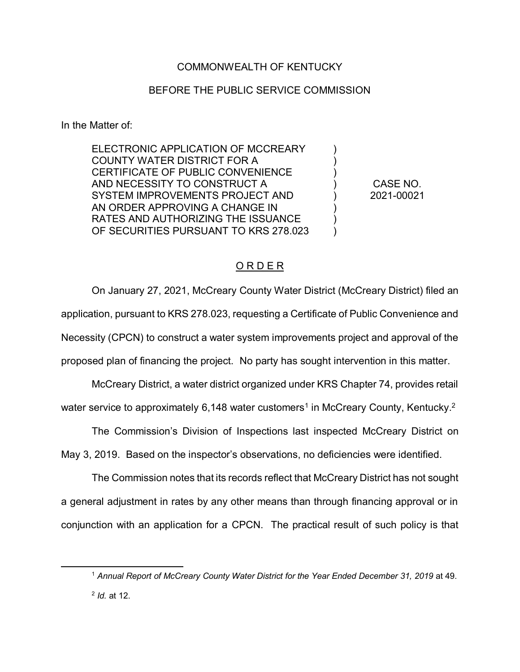# COMMONWEALTH OF KENTUCKY

## BEFORE THE PUBLIC SERVICE COMMISSION

In the Matter of:

 $\overline{a}$ 

ELECTRONIC APPLICATION OF MCCREARY COUNTY WATER DISTRICT FOR A CERTIFICATE OF PUBLIC CONVENIENCE AND NECESSITY TO CONSTRUCT A SYSTEM IMPROVEMENTS PROJECT AND AN ORDER APPROVING A CHANGE IN RATES AND AUTHORIZING THE ISSUANCE OF SECURITIES PURSUANT TO KRS 278.023

CASE NO. 2021-00021

) ) ) ) ) ) ) )

# O R D E R

On January 27, 2021, McCreary County Water District (McCreary District) filed an application, pursuant to KRS 278.023, requesting a Certificate of Public Convenience and Necessity (CPCN) to construct a water system improvements project and approval of the proposed plan of financing the project. No party has sought intervention in this matter.

McCreary District, a water district organized under KRS Chapter 74, provides retail water service to approximately 6,148 water customers<sup>1</sup> in McCreary County, Kentucky.<sup>2</sup>

The Commission's Division of Inspections last inspected McCreary District on May 3, 2019. Based on the inspector's observations, no deficiencies were identified.

The Commission notes that its records reflect that McCreary District has not sought a general adjustment in rates by any other means than through financing approval or in conjunction with an application for a CPCN. The practical result of such policy is that

<sup>&</sup>lt;sup>1</sup> Annual Report of McCreary County Water District for the Year Ended December 31, 2019 at 49. <sup>2</sup> *Id.* at 12.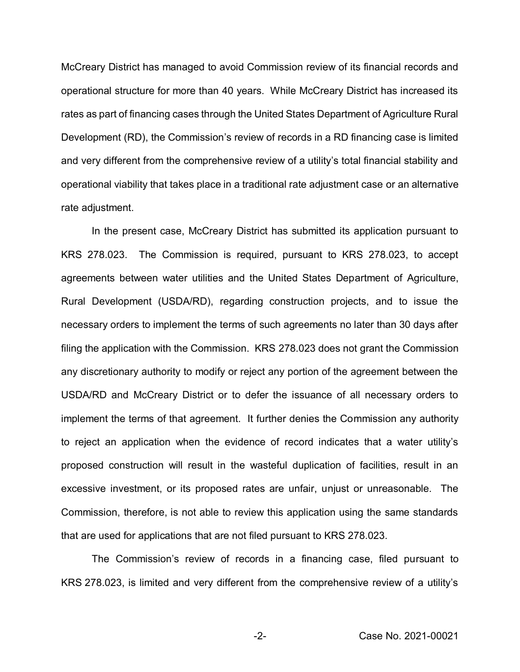McCreary District has managed to avoid Commission review of its financial records and operational structure for more than 40 years. While McCreary District has increased its rates as part of financing cases through the United States Department of Agriculture Rural Development (RD), the Commission's review of records in a RD financing case is limited and very different from the comprehensive review of a utility's total financial stability and operational viability that takes place in a traditional rate adjustment case or an alternative rate adjustment.

In the present case, McCreary District has submitted its application pursuant to KRS 278.023. The Commission is required, pursuant to KRS 278.023, to accept agreements between water utilities and the United States Department of Agriculture, Rural Development (USDA/RD), regarding construction projects, and to issue the necessary orders to implement the terms of such agreements no later than 30 days after filing the application with the Commission. KRS 278.023 does not grant the Commission any discretionary authority to modify or reject any portion of the agreement between the USDA/RD and McCreary District or to defer the issuance of all necessary orders to implement the terms of that agreement. It further denies the Commission any authority to reject an application when the evidence of record indicates that a water utility's proposed construction will result in the wasteful duplication of facilities, result in an excessive investment, or its proposed rates are unfair, unjust or unreasonable. The Commission, therefore, is not able to review this application using the same standards that are used for applications that are not filed pursuant to KRS 278.023.

The Commission's review of records in a financing case, filed pursuant to KRS 278.023, is limited and very different from the comprehensive review of a utility's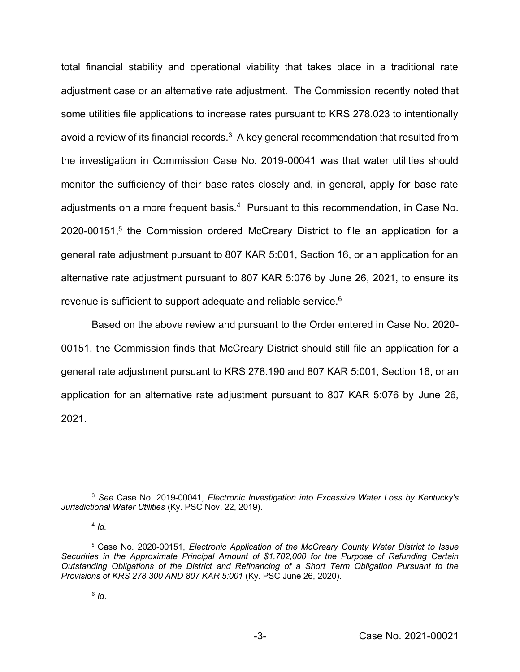total financial stability and operational viability that takes place in a traditional rate adjustment case or an alternative rate adjustment. The Commission recently noted that some utilities file applications to increase rates pursuant to KRS 278.023 to intentionally avoid a review of its financial records. $3$  A key general recommendation that resulted from the investigation in Commission Case No. 2019-00041 was that water utilities should monitor the sufficiency of their base rates closely and, in general, apply for base rate adjustments on a more frequent basis.<sup>4</sup> Pursuant to this recommendation, in Case No. 2020-00151, <sup>5</sup> the Commission ordered McCreary District to file an application for a general rate adjustment pursuant to 807 KAR 5:001, Section 16, or an application for an alternative rate adjustment pursuant to 807 KAR 5:076 by June 26, 2021, to ensure its revenue is sufficient to support adequate and reliable service.6

Based on the above review and pursuant to the Order entered in Case No. 2020- 00151, the Commission finds that McCreary District should still file an application for a general rate adjustment pursuant to KRS 278.190 and 807 KAR 5:001, Section 16, or an application for an alternative rate adjustment pursuant to 807 KAR 5:076 by June 26, 2021.

 $4$  *Id.* 

 $\overline{a}$ <sup>3</sup> *See* Case No. 2019-00041, *Electronic Investigation into Excessive Water Loss by Kentucky's Jurisdictional Water Utilities* (Ky. PSC Nov. 22, 2019).

<sup>5</sup> Case No. 2020-00151, *Electronic Application of the McCreary County Water District to Issue Securities in the Approximate Principal Amount of \$1,702,000 for the Purpose of Refunding Certain Outstanding Obligations of the District and Refinancing of a Short Term Obligation Pursuant to the Provisions of KRS 278.300 AND 807 KAR 5:001* (Ky. PSC June 26, 2020).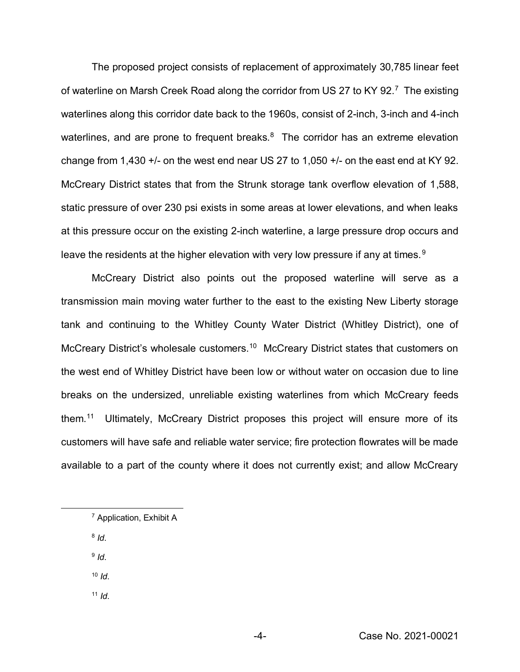The proposed project consists of replacement of approximately 30,785 linear feet of waterline on Marsh Creek Road along the corridor from US 27 to KY 92.<sup>7</sup> The existing waterlines along this corridor date back to the 1960s, consist of 2-inch, 3-inch and 4-inch waterlines, and are prone to frequent breaks.<sup>8</sup> The corridor has an extreme elevation change from 1,430  $+/-$  on the west end near US 27 to 1,050  $+/-$  on the east end at KY 92. McCreary District states that from the Strunk storage tank overflow elevation of 1,588, static pressure of over 230 psi exists in some areas at lower elevations, and when leaks at this pressure occur on the existing 2-inch waterline, a large pressure drop occurs and leave the residents at the higher elevation with very low pressure if any at times.<sup>9</sup>

McCreary District also points out the proposed waterline will serve as a transmission main moving water further to the east to the existing New Liberty storage tank and continuing to the Whitley County Water District (Whitley District), one of McCreary District's wholesale customers.<sup>10</sup> McCreary District states that customers on the west end of Whitley District have been low or without water on occasion due to line breaks on the undersized, unreliable existing waterlines from which McCreary feeds them. 11 Ultimately, McCreary District proposes this project will ensure more of its customers will have safe and reliable water service; fire protection flowrates will be made available to a part of the county where it does not currently exist; and allow McCreary

<sup>8</sup> *Id*.

 $\overline{\phantom{a}}$ 

<sup>9</sup> *Id*.

- <sup>10</sup> *Id*.
- $11$  *Id.*

<sup>7</sup> Application, Exhibit A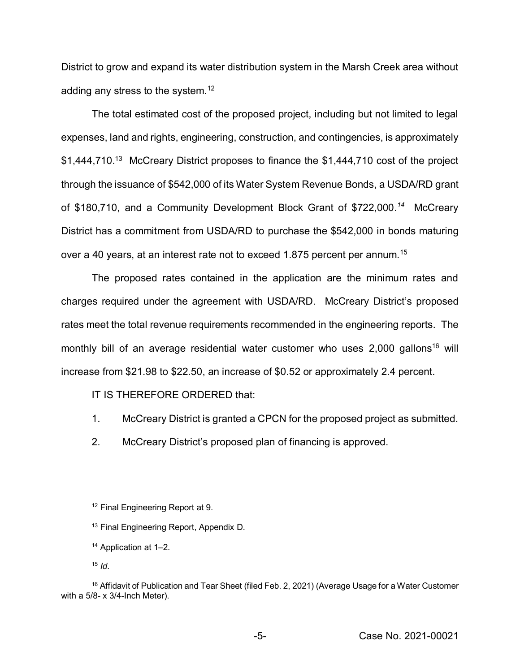District to grow and expand its water distribution system in the Marsh Creek area without adding any stress to the system.<sup>12</sup>

The total estimated cost of the proposed project, including but not limited to legal expenses, land and rights, engineering, construction, and contingencies, is approximately \$1,444,710.<sup>13</sup> McCreary District proposes to finance the \$1,444,710 cost of the project through the issuance of \$542,000 of its Water System Revenue Bonds, a USDA/RD grant of \$180,710, and a Community Development Block Grant of \$722,000*. 14* McCreary District has a commitment from USDA/RD to purchase the \$542,000 in bonds maturing over a 40 years, at an interest rate not to exceed 1.875 percent per annum.<sup>15</sup>

The proposed rates contained in the application are the minimum rates and charges required under the agreement with USDA/RD. McCreary District's proposed rates meet the total revenue requirements recommended in the engineering reports.The monthly bill of an average residential water customer who uses  $2,000$  gallons<sup>16</sup> will increase from \$21.98 to \$22.50, an increase of \$0.52 or approximately 2.4 percent.

IT IS THEREFORE ORDERED that:

- 1. McCreary District is granted a CPCN for the proposed project as submitted.
- 2. McCreary District's proposed plan of financing is approved.

 $\overline{a}$ 

<sup>12</sup> Final Engineering Report at 9.

<sup>13</sup> Final Engineering Report, Appendix D*.*

<sup>14</sup> Application at 1–2.

<sup>15</sup> *Id*.

<sup>&</sup>lt;sup>16</sup> Affidavit of Publication and Tear Sheet (filed Feb. 2, 2021) (Average Usage for a Water Customer with a 5/8- x 3/4-Inch Meter).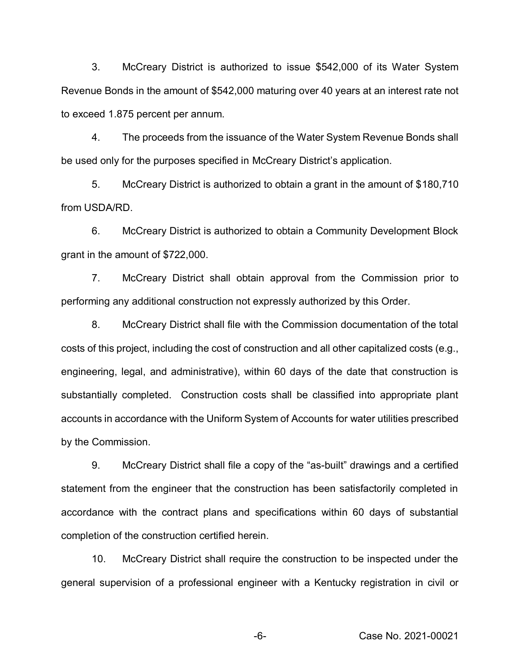3. McCreary District is authorized to issue \$542,000 of its Water System Revenue Bonds in the amount of \$542,000 maturing over 40 years at an interest rate not to exceed 1.875 percent per annum.

4. The proceeds from the issuance of the Water System Revenue Bonds shall be used only for the purposes specified in McCreary District's application.

5. McCreary District is authorized to obtain a grant in the amount of \$180,710 from USDA/RD.

6. McCreary District is authorized to obtain a Community Development Block grant in the amount of \$722,000.

7. McCreary District shall obtain approval from the Commission prior to performing any additional construction not expressly authorized by this Order.

8. McCreary District shall file with the Commission documentation of the total costs of this project, including the cost of construction and all other capitalized costs (e.g., engineering, legal, and administrative), within 60 days of the date that construction is substantially completed. Construction costs shall be classified into appropriate plant accounts in accordance with the Uniform System of Accounts for water utilities prescribed by the Commission.

9. McCreary District shall file a copy of the "as-built" drawings and a certified statement from the engineer that the construction has been satisfactorily completed in accordance with the contract plans and specifications within 60 days of substantial completion of the construction certified herein.

10. McCreary District shall require the construction to be inspected under the general supervision of a professional engineer with a Kentucky registration in civil or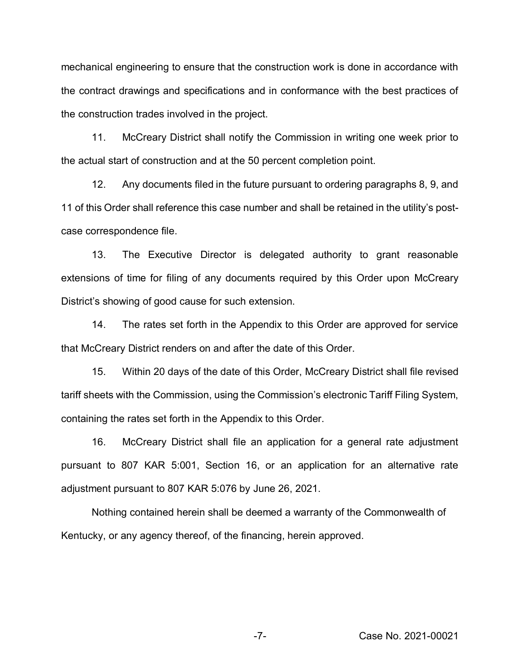mechanical engineering to ensure that the construction work is done in accordance with the contract drawings and specifications and in conformance with the best practices of the construction trades involved in the project.

11. McCreary District shall notify the Commission in writing one week prior to the actual start of construction and at the 50 percent completion point.

12. Any documents filed in the future pursuant to ordering paragraphs 8, 9, and 11 of this Order shall reference this case number and shall be retained in the utility's postcase correspondence file.

13. The Executive Director is delegated authority to grant reasonable extensions of time for filing of any documents required by this Order upon McCreary District's showing of good cause for such extension.

14. The rates set forth in the Appendix to this Order are approved for service that McCreary District renders on and after the date of this Order.

15. Within 20 days of the date of this Order, McCreary District shall file revised tariff sheets with the Commission, using the Commission's electronic Tariff Filing System, containing the rates set forth in the Appendix to this Order.

16. McCreary District shall file an application for a general rate adjustment pursuant to 807 KAR 5:001, Section 16, or an application for an alternative rate adjustment pursuant to 807 KAR 5:076 by June 26, 2021.

Nothing contained herein shall be deemed a warranty of the Commonwealth of Kentucky, or any agency thereof, of the financing, herein approved.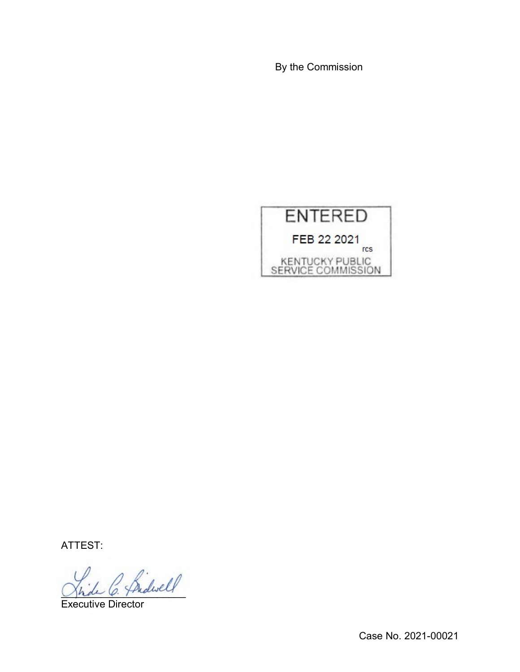By the Commission



ATTEST:

 $^{\prime}$  friderell

Executive Director

Case No. 2021-00021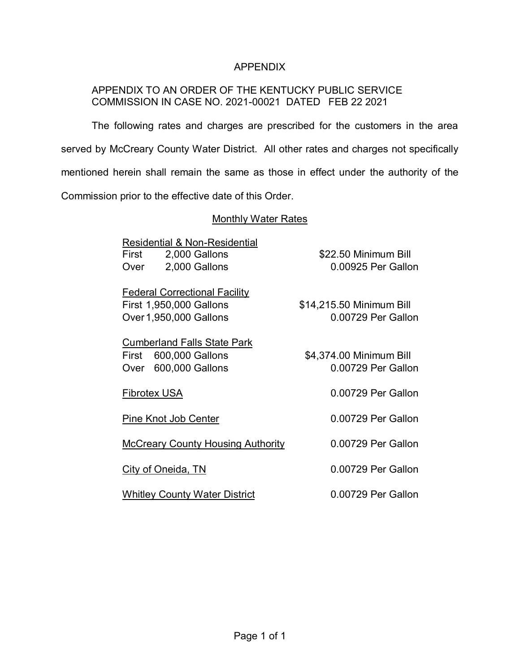## APPENDIX

# APPENDIX TO AN ORDER OF THE KENTUCKY PUBLIC SERVICE COMMISSION IN CASE NO. 2021-00021 DATED FEB 22 2021

The following rates and charges are prescribed for the customers in the area served by McCreary County Water District. All other rates and charges not specifically mentioned herein shall remain the same as those in effect under the authority of the Commission prior to the effective date of this Order.

#### **Monthly Water Rates**

| <b>Residential &amp; Non-Residential</b> |                          |
|------------------------------------------|--------------------------|
| 2,000 Gallons<br>First                   | \$22.50 Minimum Bill     |
| 2,000 Gallons<br>Over                    | 0.00925 Per Gallon       |
|                                          |                          |
| <b>Federal Correctional Facility</b>     |                          |
| First 1,950,000 Gallons                  | \$14,215.50 Minimum Bill |
| Over 1,950,000 Gallons                   | 0.00729 Per Gallon       |
|                                          |                          |
|                                          |                          |
| <b>Cumberland Falls State Park</b>       |                          |
| 600,000 Gallons<br>First                 | \$4,374.00 Minimum Bill  |
| 600,000 Gallons<br>Over                  | 0.00729 Per Gallon       |
|                                          |                          |
| Fibrotex USA                             | 0.00729 Per Gallon       |
|                                          |                          |
| Pine Knot Job Center                     | 0.00729 Per Gallon       |
|                                          |                          |
| <b>McCreary County Housing Authority</b> | 0.00729 Per Gallon       |
|                                          |                          |
| City of Oneida, TN                       | 0.00729 Per Gallon       |
|                                          |                          |
| <b>Whitley County Water District</b>     | 0.00729 Per Gallon       |
|                                          |                          |